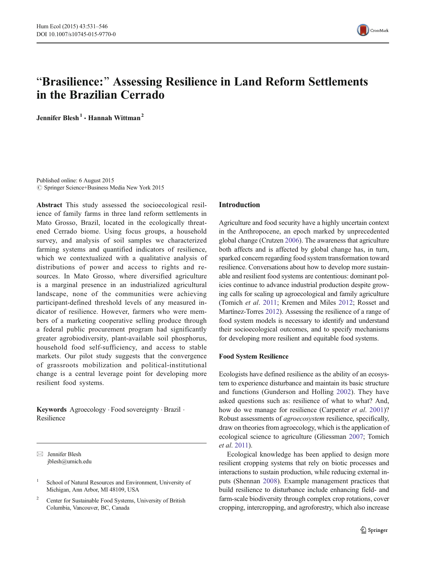

# "Brasilience:" Assessing Resilience in Land Reform Settlements in the Brazilian Cerrado

Jennifer Blesh<sup>1</sup> . Hannah Wittman<sup>2</sup>

Published online: 6 August 2015  $\circ$  Springer Science+Business Media New York 2015

Abstract This study assessed the socioecological resilience of family farms in three land reform settlements in Mato Grosso, Brazil, located in the ecologically threatened Cerrado biome. Using focus groups, a household survey, and analysis of soil samples we characterized farming systems and quantified indicators of resilience, which we contextualized with a qualitative analysis of distributions of power and access to rights and resources. In Mato Grosso, where diversified agriculture is a marginal presence in an industrialized agricultural landscape, none of the communities were achieving participant-defined threshold levels of any measured indicator of resilience. However, farmers who were members of a marketing cooperative selling produce through a federal public procurement program had significantly greater agrobiodiversity, plant-available soil phosphorus, household food self-sufficiency, and access to stable markets. Our pilot study suggests that the convergence of grassroots mobilization and political-institutional change is a central leverage point for developing more resilient food systems.

Keywords Agroecology . Food sovereignty . Brazil . Resilience

 $\boxtimes$  Jennifer Blesh jblesh@umich.edu

# Introduction

Agriculture and food security have a highly uncertain context in the Anthropocene, an epoch marked by unprecedented global change (Crutzen [2006](#page-14-0)). The awareness that agriculture both affects and is affected by global change has, in turn, sparked concern regarding food system transformation toward resilience. Conversations about how to develop more sustainable and resilient food systems are contentious: dominant policies continue to advance industrial production despite growing calls for scaling up agroecological and family agriculture (Tomich et al. [2011](#page-14-0); Kremen and Miles [2012](#page-14-0); Rosset and Martínez-Torres [2012\)](#page-14-0). Assessing the resilience of a range of food system models is necessary to identify and understand their socioecological outcomes, and to specify mechanisms for developing more resilient and equitable food systems.

## Food System Resilience

Ecologists have defined resilience as the ability of an ecosystem to experience disturbance and maintain its basic structure and functions (Gunderson and Holling [2002\)](#page-14-0). They have asked questions such as: resilience of what to what? And, how do we manage for resilience (Carpenter *et al.* [2001\)](#page-14-0)? Robust assessments of agroecosystem resilience, specifically, draw on theories from agroecology, which is the application of ecological science to agriculture (Gliessman [2007;](#page-14-0) Tomich et al. [2011\)](#page-14-0).

Ecological knowledge has been applied to design more resilient cropping systems that rely on biotic processes and interactions to sustain production, while reducing external inputs (Shennan [2008\)](#page-14-0). Example management practices that build resilience to disturbance include enhancing field- and farm-scale biodiversity through complex crop rotations, cover cropping, intercropping, and agroforestry, which also increase

<sup>&</sup>lt;sup>1</sup> School of Natural Resources and Environment, University of Michigan, Ann Arbor, MI 48109, USA

<sup>&</sup>lt;sup>2</sup> Center for Sustainable Food Systems, University of British Columbia, Vancouver, BC, Canada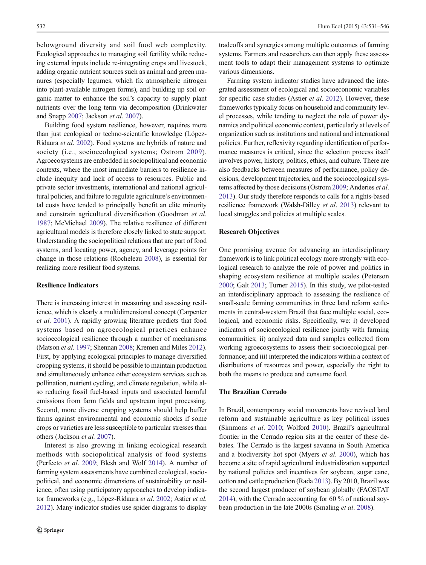belowground diversity and soil food web complexity. Ecological approaches to managing soil fertility while reducing external inputs include re-integrating crops and livestock, adding organic nutrient sources such as animal and green manures (especially legumes, which fix atmospheric nitrogen into plant-available nitrogen forms), and building up soil organic matter to enhance the soil's capacity to supply plant nutrients over the long term via decomposition (Drinkwater and Snapp [2007](#page-14-0); Jackson et al. [2007\)](#page-14-0).

Building food system resilience, however, requires more than just ecological or techno-scientific knowledge (López-Ridaura et al. [2002](#page-14-0)). Food systems are hybrids of nature and society (i.e., socioecological systems; Ostrom [2009\)](#page-14-0). Agroecosystems are embedded in sociopolitical and economic contexts, where the most immediate barriers to resilience include inequity and lack of access to resources. Public and private sector investments, international and national agricultural policies, and failure to regulate agriculture's environmental costs have tended to principally benefit an elite minority and constrain agricultural diversification (Goodman et al. [1987;](#page-14-0) McMichael [2009\)](#page-14-0). The relative resilience of different agricultural models is therefore closely linked to state support. Understanding the sociopolitical relations that are part of food systems, and locating power, agency, and leverage points for change in those relations (Rocheleau [2008\)](#page-14-0), is essential for realizing more resilient food systems.

# Resilience Indicators

There is increasing interest in measuring and assessing resilience, which is clearly a multidimensional concept (Carpenter et al. [2001\)](#page-14-0). A rapidly growing literature predicts that food systems based on agroecological practices enhance socioecological resilience through a number of mechanisms (Matson et al. [1997;](#page-14-0) Shennan [2008;](#page-14-0) Kremen and Miles [2012\)](#page-14-0). First, by applying ecological principles to manage diversified cropping systems, it should be possible to maintain production and simultaneously enhance other ecosystem services such as pollination, nutrient cycling, and climate regulation, while also reducing fossil fuel-based inputs and associated harmful emissions from farm fields and upstream input processing. Second, more diverse cropping systems should help buffer farms against environmental and economic shocks if some crops or varieties are less susceptible to particular stresses than others (Jackson et al. [2007](#page-14-0)).

Interest is also growing in linking ecological research methods with sociopolitical analysis of food systems (Perfecto et al. [2009](#page-14-0); Blesh and Wolf [2014](#page-13-0)). A number of farming system assessments have combined ecological, sociopolitical, and economic dimensions of sustainability or resilience, often using participatory approaches to develop indicator frameworks (e.g., López-Ridaura et al. [2002](#page-14-0); Astier et al. [2012\)](#page-13-0). Many indicator studies use spider diagrams to display

tradeoffs and synergies among multiple outcomes of farming systems. Farmers and researchers can then apply these assessment tools to adapt their management systems to optimize various dimensions.

Farming system indicator studies have advanced the integrated assessment of ecological and socioeconomic variables for specific case studies (Astier et al. [2012\)](#page-13-0). However, these frameworks typically focus on household and community level processes, while tending to neglect the role of power dynamics and political economic context, particularly at levels of organization such as institutions and national and international policies. Further, reflexivity regarding identification of performance measures is critical, since the selection process itself involves power, history, politics, ethics, and culture. There are also feedbacks between measures of performance, policy decisions, development trajectories, and the socioecological systems affected by those decisions (Ostrom [2009](#page-14-0); Anderies et al. [2013\)](#page-13-0). Our study therefore responds to calls for a rights-based resilience framework (Walsh-Dilley et al. [2013](#page-15-0)) relevant to local struggles and policies at multiple scales.

#### Research Objectives

One promising avenue for advancing an interdisciplinary framework is to link political ecology more strongly with ecological research to analyze the role of power and politics in shaping ecosystem resilience at multiple scales (Peterson [2000;](#page-14-0) Galt [2013](#page-14-0); Turner [2015\)](#page-14-0). In this study, we pilot-tested an interdisciplinary approach to assessing the resilience of small-scale farming communities in three land reform settlements in central-western Brazil that face multiple social, ecological, and economic risks. Specifically, we: i) developed indicators of socioecological resilience jointly with farming communities; ii) analyzed data and samples collected from working agroecosystems to assess their socioecological performance; and iii) interpreted the indicators within a context of distributions of resources and power, especially the right to both the means to produce and consume food.

## The Brazilian Cerrado

In Brazil, contemporary social movements have revived land reform and sustainable agriculture as key political issues (Simmons et al. [2010](#page-14-0); Wolford [2010](#page-15-0)). Brazil's agricultural frontier in the Cerrado region sits at the center of these debates. The Cerrado is the largest savanna in South America and a biodiversity hot spot (Myers et al. [2000](#page-14-0)), which has become a site of rapid agricultural industrialization supported by national policies and incentives for soybean, sugar cane, cotton and cattle production (Rada [2013](#page-14-0)). By 2010, Brazil was the second largest producer of soybean globally (FAOSTAT [2014\)](#page-14-0), with the Cerrado accounting for 60 % of national soybean production in the late 2000s (Smaling et al. [2008\)](#page-14-0).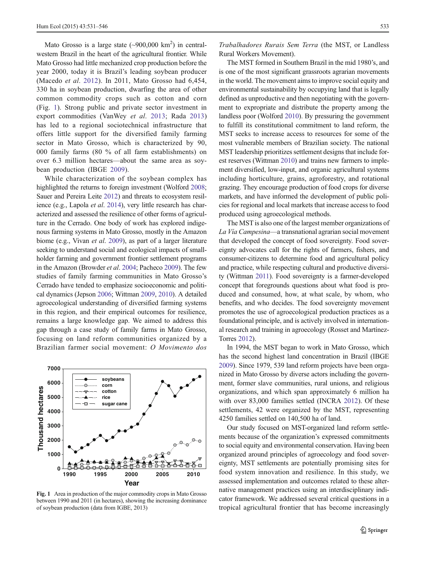Mato Grosso is a large state  $(\sim 900,000 \text{ km}^2)$  in centralwestern Brazil in the heart of the agricultural frontier. While Mato Grosso had little mechanized crop production before the year 2000, today it is Brazil's leading soybean producer (Macedo et al. [2012](#page-14-0)). In 2011, Mato Grosso had 6,454, 330 ha in soybean production, dwarfing the area of other common commodity crops such as cotton and corn (Fig. 1). Strong public and private sector investment in export commodities (VanWey et al. [2013](#page-14-0); Rada [2013\)](#page-14-0) has led to a regional sociotechnical infrastructure that offers little support for the diversified family farming sector in Mato Grosso, which is characterized by 90, 000 family farms (80 % of all farm establishments) on over 6.3 million hectares—about the same area as soybean production (IBGE [2009\)](#page-14-0).

While characterization of the soybean complex has highlighted the returns to foreign investment (Wolford [2008](#page-15-0); Sauer and Pereira Leite [2012\)](#page-14-0) and threats to ecosystem resilience (e.g., Lapola *et al.* [2014](#page-14-0)), very little research has characterized and assessed the resilience of other forms of agriculture in the Cerrado. One body of work has explored indigenous farming systems in Mato Grosso, mostly in the Amazon biome (e.g., Vivan et al. [2009](#page-15-0)), as part of a larger literature seeking to understand social and ecological impacts of smallholder farming and government frontier settlement programs in the Amazon (Browder et al. [2004](#page-14-0); Pacheco [2009](#page-14-0)). The few studies of family farming communities in Mato Grosso's Cerrado have tended to emphasize socioeconomic and political dynamics (Jepson [2006;](#page-14-0) Wittman [2009,](#page-15-0) [2010](#page-15-0)). A detailed agroecological understanding of diversified farming systems in this region, and their empirical outcomes for resilience, remains a large knowledge gap. We aimed to address this gap through a case study of family farms in Mato Grosso, focusing on land reform communities organized by a Brazilian farmer social movement: O Movimento dos



Fig. 1 Area in production of the major commodity crops in Mato Grosso between 1990 and 2011 (in hectares), showing the increasing dominance of soybean production (data from IGBE, 2013)

Trabalhadores Rurais Sem Terra (the MST, or Landless Rural Workers Movement).

The MST formed in Southern Brazil in the mid 1980's, and is one of the most significant grassroots agrarian movements in the world. The movement aims to improve social equity and environmental sustainability by occupying land that is legally defined as unproductive and then negotiating with the government to expropriate and distribute the property among the landless poor (Wolford [2010\)](#page-15-0). By pressuring the government to fulfill its constitutional commitment to land reform, the MST seeks to increase access to resources for some of the most vulnerable members of Brazilian society. The national MST leadership prioritizes settlement designs that include forest reserves (Wittman [2010](#page-15-0)) and trains new farmers to implement diversified, low-input, and organic agricultural systems including horticulture, grains, agroforestry, and rotational grazing. They encourage production of food crops for diverse markets, and have informed the development of public policies for regional and local markets that increase access to food produced using agroecological methods.

The MST is also one of the largest member organizations of La Vía Campesina—a transnational agrarian social movement that developed the concept of food sovereignty. Food sovereignty advocates call for the rights of farmers, fishers, and consumer-citizens to determine food and agricultural policy and practice, while respecting cultural and productive diversity (Wittman [2011\)](#page-15-0). Food sovereignty is a farmer-developed concept that foregrounds questions about what food is produced and consumed, how, at what scale, by whom, who benefits, and who decides. The food sovereignty movement promotes the use of agroecological production practices as a foundational principle, and is actively involved in international research and training in agroecology (Rosset and Martínez-Torres [2012\)](#page-14-0).

In 1994, the MST began to work in Mato Grosso, which has the second highest land concentration in Brazil (IBGE [2009\)](#page-14-0). Since 1979, 539 land reform projects have been organized in Mato Grosso by diverse actors including the government, former slave communities, rural unions, and religious organizations, and which span approximately 6 million ha with over 83,000 families settled (INCRA [2012\)](#page-14-0). Of these settlements, 42 were organized by the MST, representing 4250 families settled on 140,500 ha of land.

Our study focused on MST-organized land reform settlements because of the organization's expressed commitments to social equity and environmental conservation. Having been organized around principles of agroecology and food sovereignty, MST settlements are potentially promising sites for food system innovation and resilience. In this study, we assessed implementation and outcomes related to these alternative management practices using an interdisciplinary indicator framework. We addressed several critical questions in a tropical agricultural frontier that has become increasingly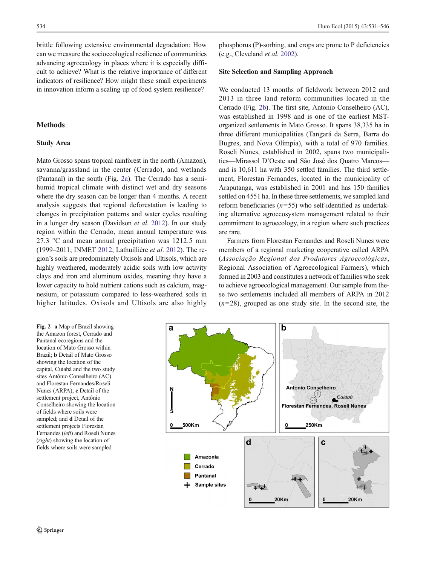brittle following extensive environmental degradation: How can we measure the socioecological resilience of communities advancing agroecology in places where it is especially difficult to achieve? What is the relative importance of different indicators of resilience? How might these small experiments in innovation inform a scaling up of food system resilience?

# **Methods**

# Study Area

Mato Grosso spans tropical rainforest in the north (Amazon), savanna/grassland in the center (Cerrado), and wetlands (Pantanal) in the south (Fig. 2a). The Cerrado has a semihumid tropical climate with distinct wet and dry seasons where the dry season can be longer than 4 months. A recent analysis suggests that regional deforestation is leading to changes in precipitation patterns and water cycles resulting in a longer dry season (Davidson et al. [2012](#page-14-0)). In our study region within the Cerrado, mean annual temperature was 27.3 °C and mean annual precipitation was 1212.5 mm (1999–2011; INMET [2012;](#page-14-0) Lathuillière et al. [2012](#page-14-0)). The region's soils are predominately Oxisols and Ultisols, which are highly weathered, moderately acidic soils with low activity clays and iron and aluminum oxides, meaning they have a lower capacity to hold nutrient cations such as calcium, magnesium, or potassium compared to less-weathered soils in higher latitudes. Oxisols and Ultisols are also highly

Fig. 2 a Map of Brazil showing the Amazon forest, Cerrado and Pantanal ecoregions and the location of Mato Grosso within Brazil; b Detail of Mato Grosso showing the location of the capital, Cuiabá and the two study sites Antônio Conselheiro (AC) and Florestan Fernandes/Roseli Nunes (ARPA); c Detail of the settlement project, Antônio Conselheiro showing the location of fields where soils were sampled; and d Detail of the settlement projects Florestan Fernandes (left) and Roseli Nunes (right) showing the location of fields where soils were sampled

phosphorus (P)-sorbing, and crops are prone to P deficiencies (e.g., Cleveland et al. [2002\)](#page-14-0).

#### Site Selection and Sampling Approach

We conducted 13 months of fieldwork between 2012 and 2013 in three land reform communities located in the Cerrado (Fig. 2b). The first site, Antonio Conselheiro (AC), was established in 1998 and is one of the earliest MSTorganized settlements in Mato Grosso. It spans 38,335 ha in three different municipalities (Tangará da Serra, Barra do Bugres, and Nova Olímpia), with a total of 970 families. Roseli Nunes, established in 2002, spans two municipalities—Mirassol D'Oeste and São José dos Quatro Marcos and is 10,611 ha with 350 settled families. The third settlement, Florestan Fernandes, located in the municipality of Araputanga, was established in 2001 and has 150 families settled on 4551 ha. In these three settlements, we sampled land reform beneficiaries  $(n=55)$  who self-identified as undertaking alternative agroecosystem management related to their commitment to agroecology, in a region where such practices are rare.

Farmers from Florestan Fernandes and Roseli Nunes were members of a regional marketing cooperative called ARPA (Associação Regional dos Produtores Agroecológicas, Regional Association of Agroecological Farmers), which formed in 2003 and constitutes a network of families who seek to achieve agroecological management. Our sample from these two settlements included all members of ARPA in 2012  $(n=28)$ , grouped as one study site. In the second site, the

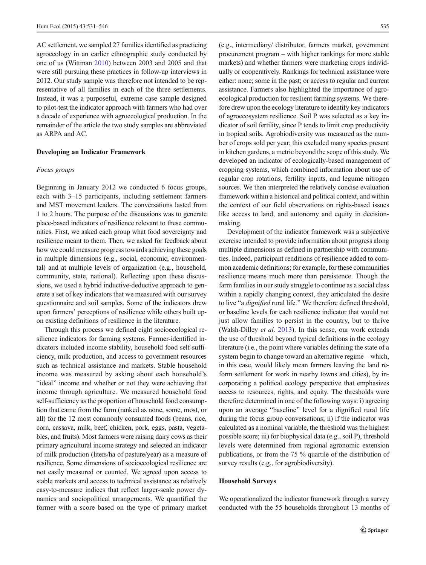AC settlement, we sampled 27 families identified as practicing agroecology in an earlier ethnographic study conducted by one of us (Wittman [2010\)](#page-15-0) between 2003 and 2005 and that were still pursuing these practices in follow-up interviews in 2012. Our study sample was therefore not intended to be representative of all families in each of the three settlements. Instead, it was a purposeful, extreme case sample designed to pilot-test the indicator approach with farmers who had over a decade of experience with agroecological production. In the remainder of the article the two study samples are abbreviated as ARPA and AC.

#### Developing an Indicator Framework

#### Focus groups

Beginning in January 2012 we conducted 6 focus groups, each with 3–15 participants, including settlement farmers and MST movement leaders. The conversations lasted from 1 to 2 hours. The purpose of the discussions was to generate place-based indicators of resilience relevant to these communities. First, we asked each group what food sovereignty and resilience meant to them. Then, we asked for feedback about how we could measure progress towards achieving these goals in multiple dimensions (e.g., social, economic, environmental) and at multiple levels of organization (e.g., household, community, state, national). Reflecting upon these discussions, we used a hybrid inductive-deductive approach to generate a set of key indicators that we measured with our survey questionnaire and soil samples. Some of the indicators drew upon farmers' perceptions of resilience while others built upon existing definitions of resilience in the literature.

Through this process we defined eight socioecological resilience indicators for farming systems. Farmer-identified indicators included income stability, household food self-sufficiency, milk production, and access to government resources such as technical assistance and markets. Stable household income was measured by asking about each household's "ideal" income and whether or not they were achieving that income through agriculture. We measured household food self-sufficiency as the proportion of household food consumption that came from the farm (ranked as none, some, most, or all) for the 12 most commonly consumed foods (beans, rice, corn, cassava, milk, beef, chicken, pork, eggs, pasta, vegetables, and fruits). Most farmers were raising dairy cows as their primary agricultural income strategy and selected an indicator of milk production (liters/ha of pasture/year) as a measure of resilience. Some dimensions of socioecological resilience are not easily measured or counted. We agreed upon access to stable markets and access to technical assistance as relatively easy-to-measure indices that reflect larger-scale power dynamics and sociopolitical arrangements. We quantified the former with a score based on the type of primary market

(e.g., intermediary/ distributor, farmers market, government procurement program – with higher rankings for more stable markets) and whether farmers were marketing crops individually or cooperatively. Rankings for technical assistance were either: none; some in the past; or access to regular and current assistance. Farmers also highlighted the importance of agroecological production for resilient farming systems. We therefore drew upon the ecology literature to identify key indicators of agroecosystem resilience. Soil P was selected as a key indicator of soil fertility, since P tends to limit crop productivity in tropical soils. Agrobiodiversity was measured as the number of crops sold per year; this excluded many species present in kitchen gardens, a metric beyond the scope of this study. We developed an indicator of ecologically-based management of cropping systems, which combined information about use of regular crop rotations, fertility inputs, and legume nitrogen sources. We then interpreted the relatively concise evaluation framework within a historical and political context, and within the context of our field observations on rights-based issues like access to land, and autonomy and equity in decisionmaking.

Development of the indicator framework was a subjective exercise intended to provide information about progress along multiple dimensions as defined in partnership with communities. Indeed, participant renditions of resilience added to common academic definitions; for example, for these communities resilience means much more than persistence. Though the farm families in our study struggle to continue as a social class within a rapidly changing context, they articulated the desire to live "a *dignified* rural life." We therefore defined threshold, or baseline levels for each resilience indicator that would not just allow families to persist in the country, but to thrive (Walsh-Dilley et al. [2013](#page-15-0)). In this sense, our work extends the use of threshold beyond typical definitions in the ecology literature (i.e., the point where variables defining the state of a system begin to change toward an alternative regime – which, in this case, would likely mean farmers leaving the land reform settlement for work in nearby towns and cities), by incorporating a political ecology perspective that emphasizes access to resources, rights, and equity. The thresholds were therefore determined in one of the following ways: i) agreeing upon an average "baseline" level for a dignified rural life during the focus group conversations; ii) if the indicator was calculated as a nominal variable, the threshold was the highest possible score; iii) for biophysical data (e.g., soil P), threshold levels were determined from regional agronomic extension publications, or from the 75 % quartile of the distribution of survey results (e.g., for agrobiodiversity).

#### Household Surveys

We operationalized the indicator framework through a survey conducted with the 55 households throughout 13 months of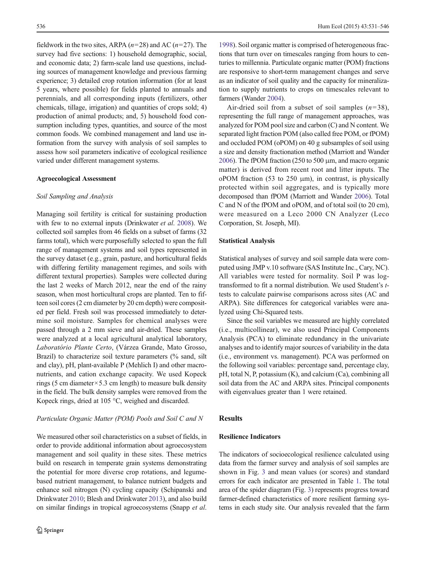fieldwork in the two sites, ARPA  $(n=28)$  and AC  $(n=27)$ . The survey had five sections: 1) household demographic, social, and economic data; 2) farm-scale land use questions, including sources of management knowledge and previous farming experience; 3) detailed crop rotation information (for at least 5 years, where possible) for fields planted to annuals and perennials, and all corresponding inputs (fertilizers, other chemicals, tillage, irrigation) and quantities of crops sold; 4) production of animal products; and, 5) household food consumption including types, quantities, and source of the most common foods. We combined management and land use information from the survey with analysis of soil samples to assess how soil parameters indicative of ecological resilience varied under different management systems.

## Agroecological Assessment

#### Soil Sampling and Analysis

Managing soil fertility is critical for sustaining production with few to no external inputs (Drinkwater et al. [2008](#page-14-0)). We collected soil samples from 46 fields on a subset of farms (32 farms total), which were purposefully selected to span the full range of management systems and soil types represented in the survey dataset (e.g., grain, pasture, and horticultural fields with differing fertility management regimes, and soils with different textural properties). Samples were collected during the last 2 weeks of March 2012, near the end of the rainy season, when most horticultural crops are planted. Ten to fifteen soil cores (2 cm diameter by 20 cm depth) were composited per field. Fresh soil was processed immediately to determine soil moisture. Samples for chemical analyses were passed through a 2 mm sieve and air-dried. These samples were analyzed at a local agricultural analytical laboratory, Laboratório Plante Certo, (Várzea Grande, Mato Grosso, Brazil) to characterize soil texture parameters (% sand, silt and clay), pH, plant-available P (Mehlich I) and other macronutrients, and cation exchange capacity. We used Kopeck rings (5 cm diameter  $\times$  5.3 cm length) to measure bulk density in the field. The bulk density samples were removed from the Kopeck rings, dried at 105 °C, weighed and discarded.

#### Particulate Organic Matter (POM) Pools and Soil C and N

We measured other soil characteristics on a subset of fields, in order to provide additional information about agroecosystem management and soil quality in these sites. These metrics build on research in temperate grain systems demonstrating the potential for more diverse crop rotations, and legumebased nutrient management, to balance nutrient budgets and enhance soil nitrogen (N) cycling capacity (Schipanski and Drinkwater [2010;](#page-14-0) Blesh and Drinkwater [2013\)](#page-13-0), and also build on similar findings in tropical agroecosystems (Snapp et al.

[1998\)](#page-14-0). Soil organic matter is comprised of heterogeneous fractions that turn over on timescales ranging from hours to centuries to millennia. Particulate organic matter (POM) fractions are responsive to short-term management changes and serve as an indicator of soil quality and the capacity for mineralization to supply nutrients to crops on timescales relevant to farmers (Wander [2004](#page-15-0)).

Air-dried soil from a subset of soil samples  $(n=38)$ , representing the full range of management approaches, was analyzed for POM pool size and carbon (C) and N content. We separated light fraction POM (also called free POM, or fPOM) and occluded POM (oPOM) on 40 g subsamples of soil using a size and density fractionation method (Marriott and Wander [2006\)](#page-14-0). The fPOM fraction (250 to 500 μm, and macro organic matter) is derived from recent root and litter inputs. The oPOM fraction  $(53 \text{ to } 250 \text{ }\mu\text{m})$ , in contrast, is physically protected within soil aggregates, and is typically more decomposed than fPOM (Marriott and Wander [2006](#page-14-0)). Total C and N of the fPOM and oPOM, and of total soil (to 20 cm), were measured on a Leco 2000 CN Analyzer (Leco Corporation, St. Joseph, MI).

## Statistical Analysis

Statistical analyses of survey and soil sample data were computed using JMP v.10 software (SAS Institute Inc., Cary, NC). All variables were tested for normality. Soil P was logtransformed to fit a normal distribution. We used Student's ttests to calculate pairwise comparisons across sites (AC and ARPA). Site differences for categorical variables were analyzed using Chi-Squared tests.

Since the soil variables we measured are highly correlated (i.e., multicollinear), we also used Principal Components Analysis (PCA) to eliminate redundancy in the univariate analyses and to identify major sources of variability in the data (i.e., environment vs. management). PCA was performed on the following soil variables: percentage sand, percentage clay, pH, total N, P, potassium (K), and calcium (Ca), combining all soil data from the AC and ARPA sites. Principal components with eigenvalues greater than 1 were retained.

# Results

## Resilience Indicators

The indicators of socioecological resilience calculated using data from the farmer survey and analysis of soil samples are shown in Fig. [3](#page-6-0) and mean values (or scores) and standard errors for each indicator are presented in Table [1.](#page-7-0) The total area of the spider diagram (Fig. [3](#page-6-0)) represents progress toward farmer-defined characteristics of more resilient farming systems in each study site. Our analysis revealed that the farm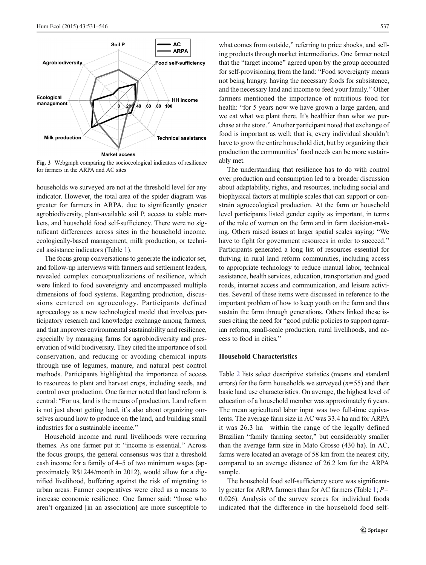<span id="page-6-0"></span>

Fig. 3 Webgraph comparing the socioecological indicators of resilience for farmers in the ARPA and AC sites

households we surveyed are not at the threshold level for any indicator. However, the total area of the spider diagram was greater for farmers in ARPA, due to significantly greater agrobiodiversity, plant-available soil P, access to stable markets, and household food self-sufficiency. There were no significant differences across sites in the household income, ecologically-based management, milk production, or technical assistance indicators (Table [1\)](#page-7-0).

The focus group conversations to generate the indicator set, and follow-up interviews with farmers and settlement leaders, revealed complex conceptualizations of resilience, which were linked to food sovereignty and encompassed multiple dimensions of food systems. Regarding production, discussions centered on agroecology. Participants defined agroecology as a new technological model that involves participatory research and knowledge exchange among farmers, and that improves environmental sustainability and resilience, especially by managing farms for agrobiodiversity and preservation of wild biodiversity. They cited the importance of soil conservation, and reducing or avoiding chemical inputs through use of legumes, manure, and natural pest control methods. Participants highlighted the importance of access to resources to plant and harvest crops, including seeds, and control over production. One farmer noted that land reform is central: "For us, land is the means of production. Land reform is not just about getting land, it's also about organizing ourselves around how to produce on the land, and building small industries for a sustainable income."

Household income and rural livelihoods were recurring themes. As one farmer put it: "income is essential." Across the focus groups, the general consensus was that a threshold cash income for a family of 4–5 of two minimum wages (approximately R\$1244/month in 2012), would allow for a dignified livelihood, buffering against the risk of migrating to urban areas. Farmer cooperatives were cited as a means to increase economic resilience. One farmer said: "those who aren't organized [in an association] are more susceptible to what comes from outside," referring to price shocks, and selling products through market intermediaries. One farmer noted that the "target income" agreed upon by the group accounted for self-provisioning from the land: "Food sovereignty means not being hungry, having the necessary foods for subsistence, and the necessary land and income to feed your family." Other farmers mentioned the importance of nutritious food for health: "for 5 years now we have grown a large garden, and we eat what we plant there. It's healthier than what we purchase at the store.^ Another participant noted that exchange of food is important as well; that is, every individual shouldn't have to grow the entire household diet, but by organizing their production the communities' food needs can be more sustainably met.

The understanding that resilience has to do with control over production and consumption led to a broader discussion about adaptability, rights, and resources, including social and biophysical factors at multiple scales that can support or constrain agroecological production. At the farm or household level participants listed gender equity as important, in terms of the role of women on the farm and in farm decision-making. Others raised issues at larger spatial scales saying: "We have to fight for government resources in order to succeed.<sup>"</sup> Participants generated a long list of resources essential for thriving in rural land reform communities, including access to appropriate technology to reduce manual labor, technical assistance, health services, education, transportation and good roads, internet access and communication, and leisure activities. Several of these items were discussed in reference to the important problem of how to keep youth on the farm and thus sustain the farm through generations. Others linked these issues citing the need for "good public policies to support agrarian reform, small-scale production, rural livelihoods, and access to food in cities.^

# Household Characteristics

Table [2](#page-8-0) lists select descriptive statistics (means and standard errors) for the farm households we surveyed  $(n=55)$  and their basic land use characteristics. On average, the highest level of education of a household member was approximately 6 years. The mean agricultural labor input was two full-time equivalents. The average farm size in AC was 33.4 ha and for ARPA it was 26.3 ha—within the range of the legally defined Brazilian "family farming sector," but considerably smaller than the average farm size in Mato Grosso (430 ha). In AC, farms were located an average of 58 km from the nearest city, compared to an average distance of 26.2 km for the ARPA sample.

The household food self-sufficiency score was significant-ly greater for ARPA farmers than for AC farmers (Table [1](#page-7-0);  $P=$ 0.026). Analysis of the survey scores for individual foods indicated that the difference in the household food self-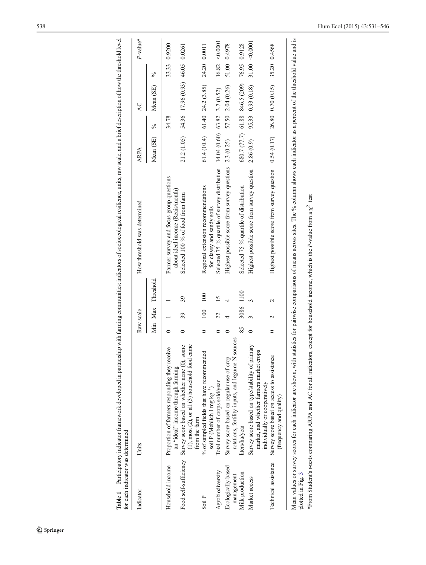| Indicator                     | Units                                                                                                                                                                  | Raw scale |                |                   | How threshold was determined                                                                               | ARPA          |       | $\overline{AC}$                             |               | P-value*           |
|-------------------------------|------------------------------------------------------------------------------------------------------------------------------------------------------------------------|-----------|----------------|-------------------|------------------------------------------------------------------------------------------------------------|---------------|-------|---------------------------------------------|---------------|--------------------|
|                               |                                                                                                                                                                        |           |                | Min Max Threshold |                                                                                                            | Mean $(SE)$ % |       | Mean (SE)                                   | $\frac{5}{6}$ |                    |
| Household income              | Proportion of farmers responding they receive                                                                                                                          |           |                |                   | Farmer survey and focus group questions                                                                    |               | 34.78 |                                             |               | 33.33 0.9200       |
|                               | came<br>some<br>Food self-sufficiency Survey score based on whether none (0),<br>$(1)$ , most $(2)$ , or all $(3)$ household food<br>an "ideal" income through farming |           | 39             | 39                | about ideal income (Reais/month)<br>Selected 100 % of food from farm                                       |               |       | 21.2 (1.05) 54.36 17.96 (0.93) 46.05 0.0261 |               |                    |
| Soil P                        | % of sampled fields that have recommended<br>from the farm                                                                                                             |           | 100            | 100               | Regional extension recommendations                                                                         |               |       | $61.4(10.4)$ $61.40$ $24.2(3.85)$           | 24.20 0.0011  |                    |
| Agrobiodiversity              | Total number of crops sold/year<br>soil P (Mehlich I mg $kg^{-1}$ )                                                                                                    |           | $\overline{c}$ | $\overline{15}$   | Selected 75 % quartile of survey distribution $14.04(0.60)$ 63.82 3.7 (0.52)<br>for clayey and sandy soils |               |       |                                             |               | $16.82 \le 0.0001$ |
| Ecologically-based            | Survey score based on regular use of crop                                                                                                                              |           |                |                   | Highest possible score from survey questions 2.3 (0.25)                                                    |               |       | 57.50 2.04 (0.26)                           |               | 51.00 0.4978       |
| Milk production<br>management | sources<br>rotations, fertility inputs, and legume N<br>liters/ha/year                                                                                                 | 85        | 3086 1100      |                   | Selected 75 % quartile of distribution                                                                     |               |       | 680.7 (77.7) 61.88 846.5 (209) 76.95 0.9128 |               |                    |
| Market access                 | Survey score based on type/stability of primary<br>market, and whether farmers market crops                                                                            |           |                |                   | Highest possible score from survey question                                                                | 2.86(0.9)     |       | 95.33 0.93 (0.18)                           |               | $31.00 - 0.0001$   |
| Technical assistance          | Survey score based on access to assistance<br>individually or cooperatively<br>(frequency and quality)                                                                 | $\circ$   | $\sim$         | $\sim$            | Highest possible score from survey question $0.54(0.17)$ $26.80$ $0.70(0.15)$ 35.20 $0.4568$               |               |       |                                             |               |                    |

<span id="page-7-0"></span>Table 1 Participatory indicator framework developed in partnership with farming communities: indicators of socioecological resilience, units, raw scale, and a brief description of how the threshold level Table 1 Participatory indicator framework developed in partnership with farming communities: indicators of socioecological resilience, units, raw scale, and a brief description of how the threshold level

plotted in Fig. 3 plotted in Fig. [3](#page-6-0)

\*From Student's t-tests comparing ARPA and AC for all indicators, except for household income, which is the P-value from a  $\chi^2$  test  $*$ From Student's t-tests comparing ARPA and AC for all indicators, except for household income, which is the P-value from a  $\chi^2$  test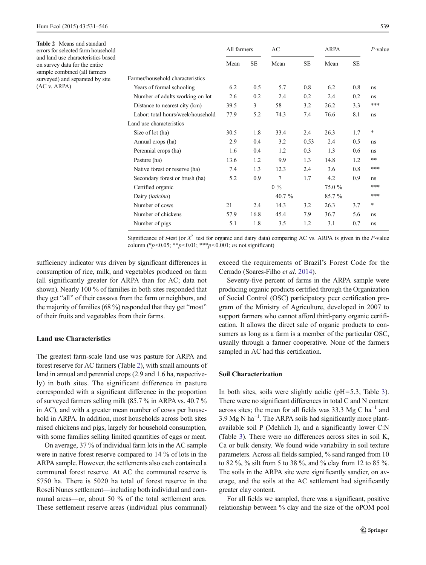<span id="page-8-0"></span>Table 2 Means and standard errors for selected farm household and land use characteristics based on survey data for the entire sample combined (all farmers surveyed) and separated by site (AC v. ARPA)

|                                   | All farmers |           | AC        |           | <b>ARPA</b> |           | $P$ -value |
|-----------------------------------|-------------|-----------|-----------|-----------|-------------|-----------|------------|
|                                   | Mean        | <b>SE</b> | Mean      | <b>SE</b> | Mean        | <b>SE</b> |            |
| Farmer/household characteristics  |             |           |           |           |             |           |            |
| Years of formal schooling         | 6.2         | 0.5       | 5.7       | 0.8       | 6.2         | 0.8       | ns         |
| Number of adults working on lot   | 2.6         | 0.2       | 2.4       | 0.2       | 2.4         | 0.2       | ns         |
| Distance to nearest city (km)     | 39.5        | 3         | 58        | 3.2       | 26.2        | 3.3       | ***        |
| Labor: total hours/week/household | 77.9        | 5.2       | 74.3      | 7.4       | 76.6        | 8.1       | ns         |
| Land use characteristics          |             |           |           |           |             |           |            |
| Size of lot (ha)                  | 30.5        | 1.8       | 33.4      | 2.4       | 26.3        | 1.7       | *          |
| Annual crops (ha)                 | 2.9         | 0.4       | 3.2       | 0.53      | 2.4         | 0.5       | ns         |
| Perennial crops (ha)              | 1.6         | 0.4       | 1.2       | 0.3       | 1.3         | 0.6       | ns         |
| Pasture (ha)                      | 13.6        | 1.2       | 9.9       | 1.3       | 14.8        | 1.2       | **         |
| Native forest or reserve (ha)     | 7.4         | 1.3       | 12.3      | 2.4       | 3.6         | 0.8       | ***        |
| Secondary forest or brush (ha)    | 5.2         | 0.9       | 7         | 1.7       | 4.2         | 0.9       | ns         |
| Certified organic                 |             |           | $0\%$     |           | 75.0 %      |           | ***        |
| Dairy (laticina)                  |             |           | 40.7 $\%$ |           | 85.7 %      |           | ***        |
| Number of cows                    | 21          | 2.4       | 14.3      | 3.2       | 26.3        | 3.7       | *          |
| Number of chickens                | 57.9        | 16.8      | 45.4      | 7.9       | 36.7        | 5.6       | ns         |
| Number of pigs                    | 5.1         | 1.8       | 3.5       | 1.2       | 3.1         | 0.7       | ns         |
|                                   |             |           |           |           |             |           |            |

Significance of t-test (or  $X^2$  test for organic and dairy data) comparing AC vs. ARPA is given in the P-value column (\* $p$ <0.05; \*\* $p$ <0.01; \*\*\* $p$ <0.001; *ns* not significant)

sufficiency indicator was driven by significant differences in consumption of rice, milk, and vegetables produced on farm (all significantly greater for ARPA than for AC; data not shown). Nearly 100 % of families in both sites responded that they get "all" of their cassava from the farm or neighbors, and the majority of families (68 %) responded that they get "most" of their fruits and vegetables from their farms.

# Land use Characteristics

The greatest farm-scale land use was pasture for ARPA and forest reserve for AC farmers (Table 2), with small amounts of land in annual and perennial crops (2.9 and 1.6 ha, respectively) in both sites. The significant difference in pasture corresponded with a significant difference in the proportion of surveyed farmers selling milk (85.7 % in ARPA vs. 40.7 % in AC), and with a greater mean number of cows per household in ARPA. In addition, most households across both sites raised chickens and pigs, largely for household consumption, with some families selling limited quantities of eggs or meat.

On average, 37 % of individual farm lots in the AC sample were in native forest reserve compared to 14 % of lots in the ARPA sample. However, the settlements also each contained a communal forest reserve. At AC the communal reserve is 5750 ha. There is 5020 ha total of forest reserve in the Roseli Nunes settlement—including both individual and communal areas—or, about 50 % of the total settlement area. These settlement reserve areas (individual plus communal) exceed the requirements of Brazil's Forest Code for the Cerrado (Soares-Filho et al. [2014\)](#page-14-0).

Seventy-five percent of farms in the ARPA sample were producing organic products certified through the Organization of Social Control (OSC) participatory peer certification program of the Ministry of Agriculture, developed in 2007 to support farmers who cannot afford third-party organic certification. It allows the direct sale of organic products to consumers as long as a farm is a member of the particular OSC, usually through a farmer cooperative. None of the farmers sampled in AC had this certification.

### Soil Characterization

In both sites, soils were slightly acidic (pH=5.3, Table [3\)](#page-9-0). There were no significant differences in total C and N content across sites; the mean for all fields was 33.3 Mg C ha<sup>-1</sup> and 3.9 Mg N ha<sup>-1</sup>. The ARPA soils had significantly more plantavailable soil P (Mehlich I), and a significantly lower C:N (Table [3](#page-9-0)). There were no differences across sites in soil K, Ca or bulk density. We found wide variability in soil texture parameters. Across all fields sampled, % sand ranged from 10 to 82 %, % silt from 5 to 38 %, and % clay from 12 to 85 %. The soils in the ARPA site were significantly sandier, on average, and the soils at the AC settlement had significantly greater clay content.

For all fields we sampled, there was a significant, positive relationship between % clay and the size of the oPOM pool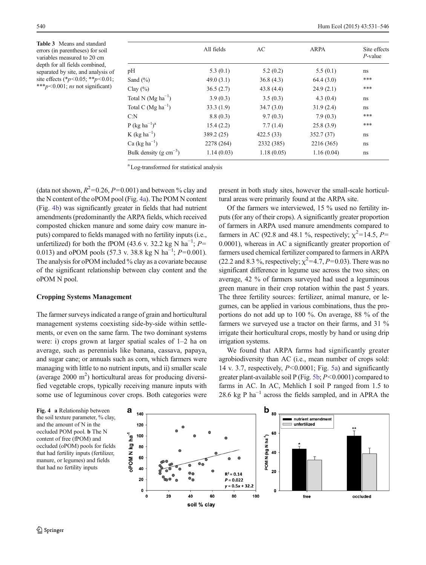<span id="page-9-0"></span>Table 3 Means and standard errors (in parentheses) for soil variables measured to 20 cm depth for all fields combined, separated by site, and analysis of site effects (\* $p$ <0.05; \*\* $p$ <0.01; \*\*\* $p$ <0.001; *ns* not significant)

|                             | All fields | AC         | ARPA       | Site effects<br>$P$ -value |
|-----------------------------|------------|------------|------------|----------------------------|
|                             |            |            |            |                            |
| pH                          | 5.3(0.1)   | 5.2(0.2)   | 5.5(0.1)   | ns                         |
| Sand $(\% )$                | 49.0(3.1)  | 36.8(4.3)  | 64.4(3.0)  | ***                        |
| Clay $(\% )$                | 36.5(2.7)  | 43.8(4.4)  | 24.9(2.1)  | ***                        |
| Total N $(Mg ha^{-1})$      | 3.9(0.3)   | 3.5(0.3)   | 4.3(0.4)   | ns                         |
| Total C $(Mg ha^{-1})$      | 33.3(1.9)  | 34.7(3.0)  | 31.9(2.4)  | ns                         |
| C: N                        | 8.8(0.3)   | 9.7(0.3)   | 7.9(0.3)   | ***                        |
| $P (kg ha^{-1})^a$          | 15.4(2.2)  | 7.7(1.4)   | 25.8(3.9)  | ***                        |
| K (kg ha <sup>-1</sup> )    | 389.2(25)  | 422.5(33)  | 352.7 (37) | ns                         |
| Ca $(kg ha^{-1})$           | 2278 (264) | 2332 (385) | 2216 (365) | ns                         |
| Bulk density (g $cm^{-3}$ ) | 1.14(0.03) | 1.18(0.05) | 1.16(0.04) | ns                         |

a Log-transformed for statistical analysis

(data not shown,  $R^2$ =0.26, P=0.001) and between % clay and the N content of the oPOM pool (Fig. 4a). The POM N content (Fig. 4b) was significantly greater in fields that had nutrient amendments (predominantly the ARPA fields, which received composted chicken manure and some dairy cow manure inputs) compared to fields managed with no fertility inputs (i.e., unfertilized) for both the fPOM (43.6 v. 32.2 kg N ha<sup>-1</sup>;  $P=$ 0.013) and oPOM pools (57.3 v. 38.8 kg N ha<sup>-1</sup>;  $P=0.001$ ). The analysis for oPOM included % clay as a covariate because of the significant relationship between clay content and the oPOM N pool.

#### Cropping Systems Management

The farmer surveys indicated a range of grain and horticultural management systems coexisting side-by-side within settlements, or even on the same farm. The two dominant systems were: i) crops grown at larger spatial scales of 1–2 ha on average, such as perennials like banana, cassava, papaya, and sugar cane; or annuals such as corn, which farmers were managing with little to no nutrient inputs, and ii) smaller scale (average  $2000 \text{ m}^2$ ) horticultural areas for producing diversified vegetable crops, typically receiving manure inputs with some use of leguminous cover crops. Both categories were present in both study sites, however the small-scale horticultural areas were primarily found at the ARPA site.

Of the farmers we interviewed, 15 % used no fertility inputs (for any of their crops). A significantly greater proportion of farmers in ARPA used manure amendments compared to farmers in AC (92.8 and 48.1 %, respectively;  $\chi^2$ =14.5, P= 0.0001), whereas in AC a significantly greater proportion of farmers used chemical fertilizer compared to farmers in ARPA (22.2 and 8.3 %, respectively;  $\chi^2$ =4.7, P=0.03). There was no significant difference in legume use across the two sites; on average, 42 % of farmers surveyed had used a leguminous green manure in their crop rotation within the past 5 years. The three fertility sources: fertilizer, animal manure, or legumes, can be applied in various combinations, thus the proportions do not add up to 100 %. On average, 88 % of the farmers we surveyed use a tractor on their farms, and 31 % irrigate their horticultural crops, mostly by hand or using drip irrigation systems.

We found that ARPA farms had significantly greater agrobiodiversity than AC (i.e., mean number of crops sold: 14 v. 3.7, respectively,  $P<0.0001$ ; Fig. [5a](#page-10-0)) and significantly greater plant-available soil P (Fig. [5b;](#page-10-0) P<0.0001) compared to farms in AC. In AC, Mehlich I soil P ranged from 1.5 to 28.6 kg P  $ha^{-1}$  across the fields sampled, and in APRA the

Fig. 4 a Relationship between the soil texture parameter, % clay, and the amount of N in the occluded POM pool. b The N content of free (fPOM) and occluded (oPOM) pools for fields that had fertility inputs (fertilizer, manure, or legumes) and fields that had no fertility inputs

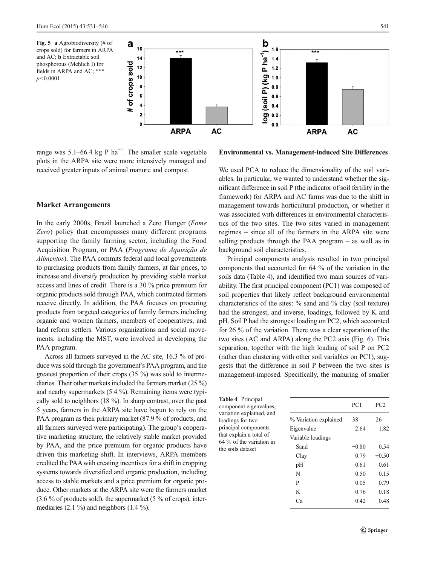<span id="page-10-0"></span>



range was 5.1–66.4 kg P  $ha^{-1}$ . The smaller scale vegetable plots in the ARPA site were more intensively managed and received greater inputs of animal manure and compost.

Environmental vs. Management-induced Site Differences

# Market Arrangements

In the early 2000s, Brazil launched a Zero Hunger (Fome Zero) policy that encompasses many different programs supporting the family farming sector, including the Food Acquisition Program, or PAA (Programa de Aquisição de Alimentos). The PAA commits federal and local governments to purchasing products from family farmers, at fair prices, to increase and diversify production by providing stable market access and lines of credit. There is a 30 % price premium for organic products sold through PAA, which contracted farmers receive directly. In addition, the PAA focuses on procuring products from targeted categories of family farmers including organic and women farmers, members of cooperatives, and land reform settlers. Various organizations and social movements, including the MST, were involved in developing the PAA program.

Across all farmers surveyed in the AC site, 16.3 % of produce was sold through the government's PAA program, and the greatest proportion of their crops (35 %) was sold to intermediaries. Their other markets included the farmers market (25 %) and nearby supermarkets (5.4 %). Remaining items were typically sold to neighbors (18 %). In sharp contrast, over the past 5 years, farmers in the ARPA site have begun to rely on the PAA program as their primary market (87.9 % of products, and all farmers surveyed were participating). The group's cooperative marketing structure, the relatively stable market provided by PAA, and the price premium for organic products have driven this marketing shift. In interviews, ARPA members credited the PAAwith creating incentives for a shift in cropping systems towards diversified and organic production, including access to stable markets and a price premium for organic produce. Other markets at the ARPA site were the farmers market (3.6 % of products sold), the supermarket (5 % of crops), intermediaries  $(2.1 \%)$  and neighbors  $(1.4 \%)$ .

We used PCA to reduce the dimensionality of the soil variables. In particular, we wanted to understand whether the significant difference in soil P (the indicator of soil fertility in the framework) for ARPA and AC farms was due to the shift in management towards horticultural production, or whether it was associated with differences in environmental characteristics of the two sites. The two sites varied in management regimes – since all of the farmers in the ARPA site were selling products through the PAA program – as well as in background soil characteristics.

Principal components analysis resulted in two principal components that accounted for 64 % of the variation in the soils data (Table 4), and identified two main sources of variability. The first principal component (PC1) was composed of soil properties that likely reflect background environmental characteristics of the sites: % sand and % clay (soil texture) had the strongest, and inverse, loadings, followed by K and pH. Soil P had the strongest loading on PC2, which accounted for 26 % of the variation. There was a clear separation of the two sites (AC and ARPA) along the PC2 axis (Fig. [6](#page-11-0)). This separation, together with the high loading of soil P on PC2 (rather than clustering with other soil variables on PC1), suggests that the difference in soil P between the two sites is management-imposed. Specifically, the manuring of smaller

Table 4 Principal component eigenvalues, variation explained, and loadings for two principal components that explain a total of 64 % of the variation in the soils dataset

|                       | PC1     | PC <sub>2</sub> |
|-----------------------|---------|-----------------|
| % Variation explained | 38      | 26              |
| Eigenvalue            | 2.64    | 1.82            |
| Variable loadings     |         |                 |
| Sand                  | $-0.80$ | 0.54            |
| Clay                  | 0.79    | $-0.50$         |
| pH                    | 0.61    | 0.61            |
| N                     | 0.50    | 0.15            |
| P                     | 0.05    | 0.79            |
| K                     | 0.76    | 0.18            |
| Cа                    | 0.42    | 0.48            |
|                       |         |                 |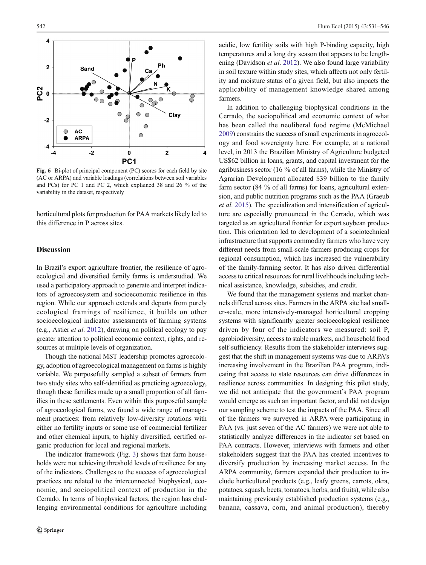<span id="page-11-0"></span>

Fig. 6 Bi-plot of principal component (PC) scores for each field by site (AC or ARPA) and variable loadings (correlations between soil variables and PCs) for PC 1 and PC 2, which explained 38 and 26 % of the variability in the dataset, respectively

horticultural plots for production for PAA markets likely led to this difference in P across sites.

# Discussion

In Brazil's export agriculture frontier, the resilience of agroecological and diversified family farms is understudied. We used a participatory approach to generate and interpret indicators of agroecosystem and socioeconomic resilience in this region. While our approach extends and departs from purely ecological framings of resilience, it builds on other socioecological indicator assessments of farming systems (e.g., Astier et al. [2012](#page-13-0)), drawing on political ecology to pay greater attention to political economic context, rights, and resources at multiple levels of organization.

Though the national MST leadership promotes agroecology, adoption of agroecological management on farms is highly variable. We purposefully sampled a subset of farmers from two study sites who self-identified as practicing agroecology, though these families made up a small proportion of all families in these settlements. Even within this purposeful sample of agroecological farms, we found a wide range of management practices: from relatively low-diversity rotations with either no fertility inputs or some use of commercial fertilizer and other chemical inputs, to highly diversified, certified organic production for local and regional markets.

The indicator framework (Fig. [3](#page-6-0)) shows that farm households were not achieving threshold levels of resilience for any of the indicators. Challenges to the success of agroecological practices are related to the interconnected biophysical, economic, and sociopolitical context of production in the Cerrado. In terms of biophysical factors, the region has challenging environmental conditions for agriculture including acidic, low fertility soils with high P-binding capacity, high temperatures and a long dry season that appears to be length-ening (Davidson et al. [2012](#page-14-0)). We also found large variability in soil texture within study sites, which affects not only fertility and moisture status of a given field, but also impacts the applicability of management knowledge shared among farmers.

In addition to challenging biophysical conditions in the Cerrado, the sociopolitical and economic context of what has been called the neoliberal food regime (McMichael [2009\)](#page-14-0) constrains the success of small experiments in agroecology and food sovereignty here. For example, at a national level, in 2013 the Brazilian Ministry of Agriculture budgeted US\$62 billion in loans, grants, and capital investment for the agribusiness sector (16 % of all farms), while the Ministry of Agrarian Development allocated \$39 billion to the family farm sector (84 % of all farms) for loans, agricultural extension, and public nutrition programs such as the PAA (Graeub et al. [2015\)](#page-14-0). The specialization and intensification of agriculture are especially pronounced in the Cerrado, which was targeted as an agricultural frontier for export soybean production. This orientation led to development of a sociotechnical infrastructure that supports commodity farmers who have very different needs from small-scale farmers producing crops for regional consumption, which has increased the vulnerability of the family-farming sector. It has also driven differential access to critical resources for rural livelihoods including technical assistance, knowledge, subsidies, and credit.

We found that the management systems and market channels differed across sites. Farmers in the ARPA site had smaller-scale, more intensively-managed horticultural cropping systems with significantly greater socioecological resilience driven by four of the indicators we measured: soil P, agrobiodiversity, access to stable markets, and household food self-sufficiency. Results from the stakeholder interviews suggest that the shift in management systems was due to ARPA's increasing involvement in the Brazilian PAA program, indicating that access to state resources can drive differences in resilience across communities. In designing this pilot study, we did not anticipate that the government's PAA program would emerge as such an important factor, and did not design our sampling scheme to test the impacts of the PAA. Since all of the farmers we surveyed in ARPA were participating in PAA (vs. just seven of the AC farmers) we were not able to statistically analyze differences in the indicator set based on PAA contracts. However, interviews with farmers and other stakeholders suggest that the PAA has created incentives to diversify production by increasing market access. In the ARPA community, farmers expanded their production to include horticultural products (e.g., leafy greens, carrots, okra, potatoes, squash, beets, tomatoes, herbs, and fruits), while also maintaining previously established production systems (e.g., banana, cassava, corn, and animal production), thereby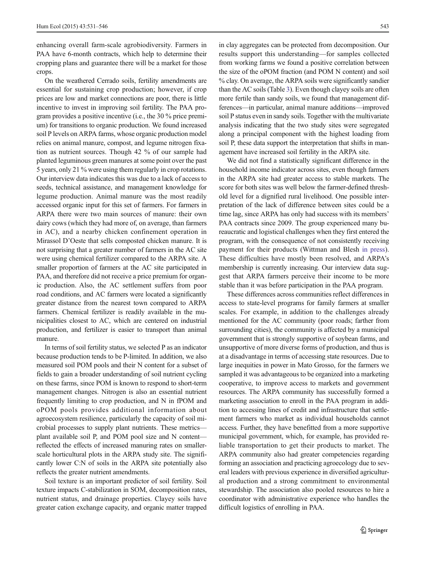enhancing overall farm-scale agrobiodiversity. Farmers in PAA have 6-month contracts, which help to determine their cropping plans and guarantee there will be a market for those crops.

On the weathered Cerrado soils, fertility amendments are essential for sustaining crop production; however, if crop prices are low and market connections are poor, there is little incentive to invest in improving soil fertility. The PAA program provides a positive incentive (i.e., the 30 % price premium) for transitions to organic production. We found increased soil P levels on ARPA farms, whose organic production model relies on animal manure, compost, and legume nitrogen fixation as nutrient sources. Though 42 % of our sample had planted leguminous green manures at some point over the past 5 years, only 21 % were using them regularly in crop rotations. Our interview data indicates this was due to a lack of access to seeds, technical assistance, and management knowledge for legume production. Animal manure was the most readily accessed organic input for this set of farmers. For farmers in ARPA there were two main sources of manure: their own dairy cows (which they had more of, on average, than farmers in AC), and a nearby chicken confinement operation in Mirassol D'Oeste that sells composted chicken manure. It is not surprising that a greater number of farmers in the AC site were using chemical fertilizer compared to the ARPA site. A smaller proportion of farmers at the AC site participated in PAA, and therefore did not receive a price premium for organic production. Also, the AC settlement suffers from poor road conditions, and AC farmers were located a significantly greater distance from the nearest town compared to ARPA farmers. Chemical fertilizer is readily available in the municipalities closest to AC, which are centered on industrial production, and fertilizer is easier to transport than animal manure.

In terms of soil fertility status, we selected P as an indicator because production tends to be P-limited. In addition, we also measured soil POM pools and their N content for a subset of fields to gain a broader understanding of soil nutrient cycling on these farms, since POM is known to respond to short-term management changes. Nitrogen is also an essential nutrient frequently limiting to crop production, and N in fPOM and oPOM pools provides additional information about agroecosystem resilience, particularly the capacity of soil microbial processes to supply plant nutrients. These metrics plant available soil P, and POM pool size and N content reflected the effects of increased manuring rates on smallerscale horticultural plots in the ARPA study site. The significantly lower C:N of soils in the ARPA site potentially also reflects the greater nutrient amendments.

Soil texture is an important predictor of soil fertility. Soil texture impacts C-stabilization in SOM, decomposition rates, nutrient status, and drainage properties. Clayey soils have greater cation exchange capacity, and organic matter trapped in clay aggregates can be protected from decomposition. Our results support this understanding—for samples collected from working farms we found a positive correlation between the size of the oPOM fraction (and POM N content) and soil % clay. On average, the ARPA soils were significantly sandier than the AC soils (Table [3](#page-9-0)). Even though clayey soils are often more fertile than sandy soils, we found that management differences—in particular, animal manure additions—improved soil P status even in sandy soils. Together with the multivariate analysis indicating that the two study sites were segregated along a principal component with the highest loading from soil P, these data support the interpretation that shifts in management have increased soil fertility in the ARPA site.

We did not find a statistically significant difference in the household income indicator across sites, even though farmers in the ARPA site had greater access to stable markets. The score for both sites was well below the farmer-defined threshold level for a dignified rural livelihood. One possible interpretation of the lack of difference between sites could be a time lag, since ARPA has only had success with its members' PAA contracts since 2009. The group experienced many bureaucratic and logistical challenges when they first entered the program, with the consequence of not consistently receiving payment for their products (Wittman and Blesh [in press](#page-15-0)). These difficulties have mostly been resolved, and ARPA's membership is currently increasing. Our interview data suggest that ARPA farmers perceive their income to be more stable than it was before participation in the PAA program.

These differences across communities reflect differences in access to state-level programs for family farmers at smaller scales. For example, in addition to the challenges already mentioned for the AC community (poor roads; farther from surrounding cities), the community is affected by a municipal government that is strongly supportive of soybean farms, and unsupportive of more diverse forms of production, and thus is at a disadvantage in terms of accessing state resources. Due to large inequities in power in Mato Grosso, for the farmers we sampled it was advantageous to be organized into a marketing cooperative, to improve access to markets and government resources. The ARPA community has successfully formed a marketing association to enroll in the PAA program in addition to accessing lines of credit and infrastructure that settlement farmers who market as individual households cannot access. Further, they have benefitted from a more supportive municipal government, which, for example, has provided reliable transportation to get their products to market. The ARPA community also had greater competencies regarding forming an association and practicing agroecology due to several leaders with previous experience in diversified agricultural production and a strong commitment to environmental stewardship. The association also pooled resources to hire a coordinator with administrative experience who handles the difficult logistics of enrolling in PAA.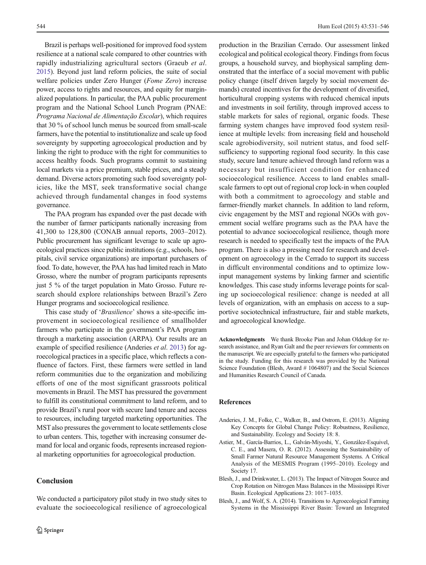<span id="page-13-0"></span>Brazil is perhaps well-positioned for improved food system resilience at a national scale compared to other countries with rapidly industrializing agricultural sectors (Graeub et al. [2015\)](#page-14-0). Beyond just land reform policies, the suite of social welfare policies under Zero Hunger (Fome Zero) increase power, access to rights and resources, and equity for marginalized populations. In particular, the PAA public procurement program and the National School Lunch Program (PNAE: Programa Nacional de Alimentação Escolar), which requires that 30 % of school lunch menus be sourced from small-scale farmers, have the potential to institutionalize and scale up food sovereignty by supporting agroecological production and by linking the right to produce with the right for communities to access healthy foods. Such programs commit to sustaining local markets via a price premium, stable prices, and a steady demand. Diverse actors promoting such food sovereignty policies, like the MST, seek transformative social change achieved through fundamental changes in food systems governance.

The PAA program has expanded over the past decade with the number of farmer participants nationally increasing from 41,300 to 128,800 (CONAB annual reports, 2003–2012). Public procurement has significant leverage to scale up agroecological practices since public institutions (e.g., schools, hospitals, civil service organizations) are important purchasers of food. To date, however, the PAA has had limited reach in Mato Grosso, where the number of program participants represents just 5 % of the target population in Mato Grosso. Future research should explore relationships between Brazil's Zero Hunger programs and socioecological resilience.

This case study of 'Brasilience' shows a site-specific improvement in socioecological resilience of smallholder farmers who participate in the government's PAA program through a marketing association (ARPA). Our results are an example of specified resilience (Anderies *et al.* 2013) for agroecological practices in a specific place, which reflects a confluence of factors. First, these farmers were settled in land reform communities due to the organization and mobilizing efforts of one of the most significant grassroots political movements in Brazil. The MST has pressured the government to fulfill its constitutional commitment to land reform, and to provide Brazil's rural poor with secure land tenure and access to resources, including targeted marketing opportunities. The MST also pressures the government to locate settlements close to urban centers. This, together with increasing consumer demand for local and organic foods, represents increased regional marketing opportunities for agroecological production.

We conducted a participatory pilot study in two study sites to evaluate the socioecological resilience of agroecological

# Conclusion

production in the Brazilian Cerrado. Our assessment linked ecological and political ecological theory. Findings from focus groups, a household survey, and biophysical sampling demonstrated that the interface of a social movement with public policy change (itself driven largely by social movement demands) created incentives for the development of diversified, horticultural cropping systems with reduced chemical inputs and investments in soil fertility, through improved access to stable markets for sales of regional, organic foods. These farming system changes have improved food system resilience at multiple levels: from increasing field and household scale agrobiodiversity, soil nutrient status, and food selfsufficiency to supporting regional food security. In this case study, secure land tenure achieved through land reform was a necessary but insufficient condition for enhanced socioecological resilience. Access to land enables smallscale farmers to opt out of regional crop lock-in when coupled with both a commitment to agroecology and stable and farmer-friendly market channels. In addition to land reform, civic engagement by the MST and regional NGOs with government social welfare programs such as the PAA have the potential to advance socioecological resilience, though more research is needed to specifically test the impacts of the PAA program. There is also a pressing need for research and development on agroecology in the Cerrado to support its success in difficult environmental conditions and to optimize lowinput management systems by linking farmer and scientific knowledges. This case study informs leverage points for scaling up socioecological resilience: change is needed at all levels of organization, with an emphasis on access to a supportive sociotechnical infrastructure, fair and stable markets, and agroecological knowledge.

Acknowledgments We thank Brooke Pian and Johan Oldekop for research assistance, and Ryan Galt and the peer reviewers for comments on the manuscript. We are especially grateful to the farmers who participated in the study. Funding for this research was provided by the National Science Foundation (Blesh, Award # 1064807) and the Social Sciences and Humanities Research Council of Canada.

#### References

- Anderies, J. M., Folke, C., Walker, B., and Ostrom, E. (2013). Aligning Key Concepts for Global Change Policy: Robustness, Resilience, and Sustainability. Ecology and Society 18: 8.
- Astier, M., García-Barrios, L., Galván-Miyoshi, Y., González-Esquivel, C. E., and Masera, O. R. (2012). Assessing the Sustainability of Small Farmer Natural Resource Management Systems. A Critical Analysis of the MESMIS Program (1995–2010). Ecology and Society 17.
- Blesh, J., and Drinkwater, L. (2013). The Impact of Nitrogen Source and Crop Rotation on Nitrogen Mass Balances in the Mississippi River Basin. Ecological Applications 23: 1017–1035.
- Blesh, J., and Wolf, S. A. (2014). Transitions to Agroecological Farming Systems in the Mississippi River Basin: Toward an Integrated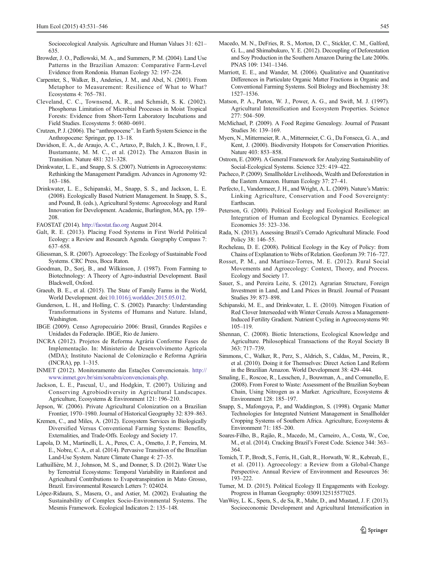<span id="page-14-0"></span>Socioecological Analysis. Agriculture and Human Values 31: 621– 635.

- Browder, J. O., Pedlowski, M. A., and Summers, P. M. (2004). Land Use Patterns in the Brazilian Amazon: Comparative Farm-Level Evidence from Rondonia. Human Ecology 32: 197–224.
- Carpenter, S., Walker, B., Anderies, J. M., and Abel, N. (2001). From Metaphor to Measurement: Resilience of What to What? Ecosystems 4: 765–781.
- Cleveland, C. C., Townsend, A. R., and Schmidt, S. K. (2002). Phosphorus Limitation of Microbial Processes in Moist Tropical Forests: Evidence from Short-Term Laboratory Incubations and Field Studies. Ecosystems 5: 0680–0691.
- Crutzen, P. J. (2006). The "anthropocene". In Earth System Science in the Anthropocene: Springer, pp. 13–18.
- Davidson, E. A., de Araujo, A. C., Artaxo, P., Balch, J. K., Brown, I. F., Bustamante, M. M. C., et al. (2012). The Amazon Basin in Transition. Nature 481: 321–328.
- Drinkwater, L. E., and Snapp, S. S. (2007). Nutrients in Agroecosystems: Rethinking the Management Paradigm. Advances in Agronomy 92: 163–186.
- Drinkwater, L. E., Schipanski, M., Snapp, S. S., and Jackson, L. E. (2008). Ecologically Based Nutrient Management. In Snapp, S. S., and Pound, B. (eds.), Agricultural Systems: Agroecology and Rural Innovation for Development. Academic, Burlington, MA, pp. 159– 208.

FAOSTAT (2014). [http://faostat.fao.org](http://faostat.fao.org/) August 2014.

- Galt, R. E. (2013). Placing Food Systems in First World Political Ecology: a Review and Research Agenda. Geography Compass 7: 637–658.
- Gliessman, S. R. (2007). Agroecology: The Ecology of Sustainable Food Systems. CRC Press, Boca Raton.
- Goodman, D., Sorj, B., and Wilkinson, J. (1987). From Farming to Biotechnology: A Theory of Agro-industrial Development. Basil Blackwell, Oxford.
- Graeub, B. E., et al. (2015). The State of Family Farms in the World, World Development. doi:[10.1016/j.worlddev.2015.05.012.](http://dx.doi.org/10.1016/j.worlddev.2015.05.012)
- Gunderson, L. H., and Holling, C. S. (2002). Panarchy: Understanding Transformations in Systems of Humans and Nature. Island, Washington.
- IBGE (2009). Censo Agropecuário 2006: Brasil, Grandes Regiões e Unidades da Federação. IBGE, Rio de Janiero.
- INCRA (2012). Projetos de Reforma Agrária Conforme Fases de Implementação. In: Ministerio de Desenvolvimento Agrícola (MDA); Instituto Nacional de Colonização e Reforma Agrária (INCRA), pp. 1–315.
- INMET (2012). Monitoramento das Estações Convencionais. [http://](http://www.inmet.gov.br/sim/sonabra/convencionais.php) [www.inmet.gov.br/sim/sonabra/convencionais.php.](http://www.inmet.gov.br/sim/sonabra/convencionais.php)
- Jackson, L. E., Pascual, U., and Hodgkin, T. (2007). Utilizing and Conserving Agrobiodiversity in Agricultural Landscapes. Agriculture, Ecosystems & Environment 121: 196–210.
- Jepson, W. (2006). Private Agricultural Colonization on a Brazilian Frontier, 1970–1980. Journal of Historical Geography 32: 839–863.
- Kremen, C., and Miles, A. (2012). Ecosystem Services in Biologically Diversified Versus Conventional Farming Systems: Benefits, Externalities, and Trade-Offs. Ecology and Society 17.
- Lapola, D. M., Martinelli, L. A., Peres, C. A., Ometto, J. P., Ferreira, M. E., Nobre, C. A., et al. (2014). Pervasive Transition of the Brazilian Land-Use System. Nature Climate Change 4: 27–35.
- Lathuillière, M. J., Johnson, M. S., and Donner, S. D. (2012). Water Use by Terrestrial Ecosystems: Temporal Variability in Rainforest and Agricultural Contributions to Evapotranspiration in Mato Grosso, Brazil. Environmental Research Letters 7: 024024.
- López-Ridaura, S., Masera, O., and Astier, M. (2002). Evaluating the Sustainability of Complex Socio-Environmental Systems. The Mesmis Framework. Ecological Indicators 2: 135–148.
- Macedo, M. N., DeFries, R. S., Morton, D. C., Stickler, C. M., Galford, G. L., and Shimabukuro, Y. E. (2012). Decoupling of Deforestation and Soy Production in the Southern Amazon During the Late 2000s. PNAS 109: 1341–1346.
- Marriott, E. E., and Wander, M. (2006). Qualitative and Quantitative Differences in Particulate Organic Matter Fractions in Organic and Conventional Farming Systems. Soil Biology and Biochemistry 38: 1527–1536.
- Matson, P. A., Parton, W. J., Power, A. G., and Swift, M. J. (1997). Agricultural Intensification and Ecosystem Properties. Science 277: 504–509.
- McMichael, P. (2009). A Food Regime Genealogy. Journal of Peasant Studies 36: 139–169.
- Myers, N., Mittermeier, R. A., Mittermeier, C. G., Da Fonseca, G. A., and Kent, J. (2000). Biodiversity Hotspots for Conservation Priorities. Nature 403: 853–858.
- Ostrom, E. (2009). A General Framework for Analyzing Sustainability of Social-Ecological Systems. Science 325: 419–422.
- Pacheco, P. (2009). Smallholder Livelihoods, Wealth and Deforestation in the Eastern Amazon. Human Ecology 37: 27–41.
- Perfecto, I., Vandermeer, J. H., and Wright, A. L. (2009). Nature's Matrix: Linking Agriculture, Conservation and Food Sovereignty: Earthscan.
- Peterson, G. (2000). Political Ecology and Ecological Resilience: an Integration of Human and Ecological Dynamics. Ecological Economics 35: 323–336.
- Rada, N. (2013). Assessing Brazil's Cerrado Agricultural Miracle. Food Policy 38: 146–55.
- Rocheleau, D. E. (2008). Political Ecology in the Key of Policy: from Chains of Explanation to Webs of Relation. Geoforum 39: 716–727.
- Rosset, P. M., and Martínez-Torres, M. E. (2012). Rural Social Movements and Agroecology: Context, Theory, and Process. Ecology and Society 17.
- Sauer, S., and Pereira Leite, S. (2012). Agrarian Structure, Foreign Investment in Land, and Land Prices in Brazil. Journal of Peasant Studies 39: 873–898.
- Schipanski, M. E., and Drinkwater, L. E. (2010). Nitrogen Fixation of Red Clover Interseeded with Winter Cereals Across a Management-Induced Fertility Gradient. Nutrient Cycling in Agroecosystems 90: 105–119.
- Shennan, C. (2008). Biotic Interactions, Ecological Knowledge and Agriculture. Philosophical Transactions of the Royal Society B 363: 717–739.
- Simmons, C., Walker, R., Perz, S., Aldrich, S., Caldas, M., Pereira, R., et al. (2010). Doing it for Themselves: Direct Action Land Reform in the Brazilian Amazon. World Development 38: 429–444.
- Smaling, E., Roscoe, R., Lesschen, J., Bouwman, A., and Comunello, E. (2008). From Forest to Waste: Assessment of the Brazilian Soybean Chain, Using Nitrogen as a Marker. Agriculture, Ecosystems & Environment 128: 185–197.
- Snapp, S., Mafongoya, P., and Waddington, S. (1998). Organic Matter Technologies for Integrated Nutrient Management in Smallholder Cropping Systems of Southern Africa. Agriculture, Ecosystems & Environment 71: 185–200.
- Soares-Filho, B., Rajão, R., Macedo, M., Carneiro, A., Costa, W., Coe, M., et al. (2014). Cracking Brazil's Forest Code. Science 344: 363– 364.
- Tomich, T. P., Brodt, S., Ferris, H., Galt, R., Horwath, W. R., Kebreab, E., et al. (2011). Agroecology: a Review from a Global-Change Perspective. Annual Review of Environment and Resources 36: 193–222.
- Turner, M. D. (2015). Political Ecology II Engagements with Ecology. Progress in Human Geography: 0309132515577025.
- VanWey, L. K., Spera, S., de Sa, R., Mahr, D., and Mustard, J. F. (2013). Socioeconomic Development and Agricultural Intensification in